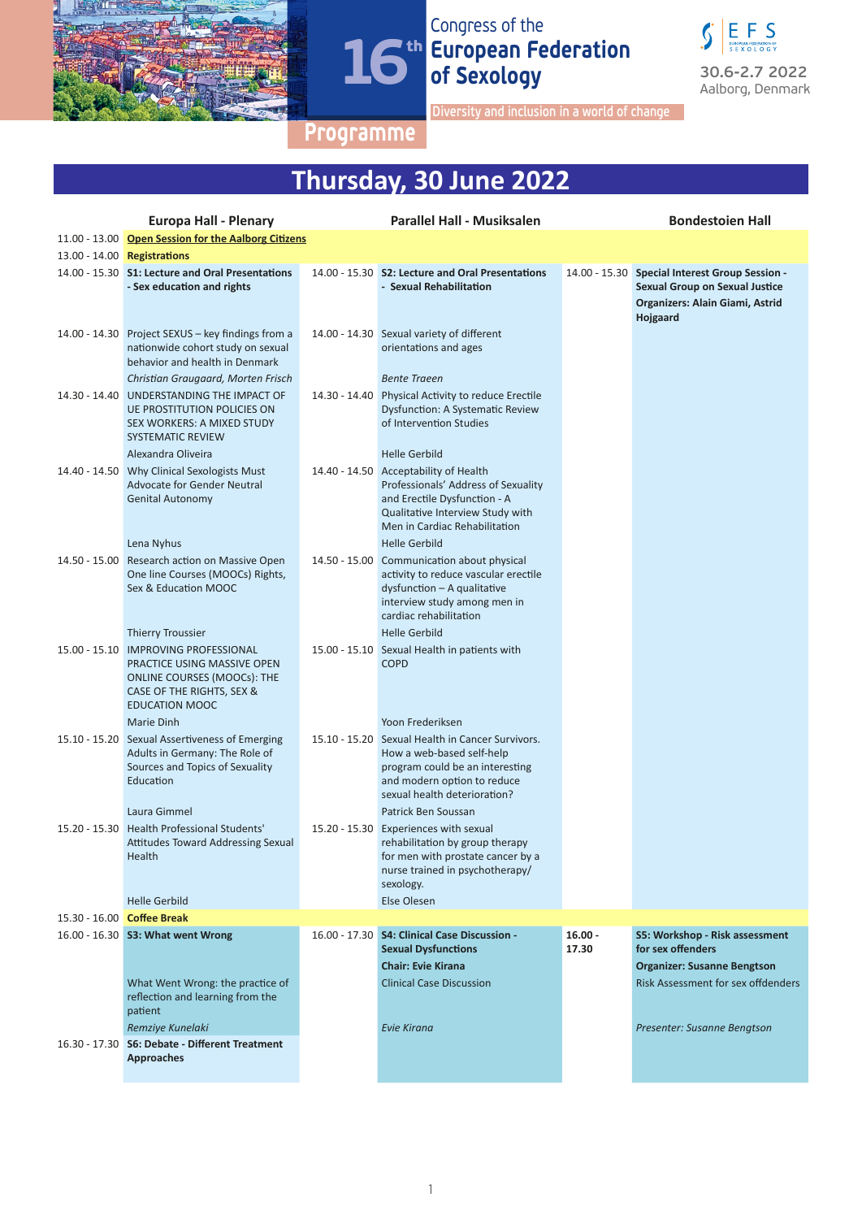



**Diversity and inclusion in a world of change**

### **Programme**

# **Thursday, 30 June 2022**

|               | <b>Europa Hall - Plenary</b>                                                                                                                             | <b>Parallel Hall - Musiksalen</b>                                                                                                                                                                         |                    | <b>Bondestoien Hall</b>                                                                                                                |
|---------------|----------------------------------------------------------------------------------------------------------------------------------------------------------|-----------------------------------------------------------------------------------------------------------------------------------------------------------------------------------------------------------|--------------------|----------------------------------------------------------------------------------------------------------------------------------------|
|               | 11.00 - 13.00 Open Session for the Aalborg Citizens                                                                                                      |                                                                                                                                                                                                           |                    |                                                                                                                                        |
|               | 13.00 - 14.00 Registrations                                                                                                                              |                                                                                                                                                                                                           |                    |                                                                                                                                        |
|               | 14.00 - 15.30 S1: Lecture and Oral Presentations<br>- Sex education and rights                                                                           | 14.00 - 15.30 S2: Lecture and Oral Presentations<br>- Sexual Rehabilitation                                                                                                                               |                    | 14.00 - 15.30 Special Interest Group Session -<br><b>Sexual Group on Sexual Justice</b><br>Organizers: Alain Giami, Astrid<br>Hojgaard |
|               | 14.00 - 14.30 Project SEXUS - key findings from a<br>nationwide cohort study on sexual<br>behavior and health in Denmark                                 | 14.00 - 14.30 Sexual variety of different<br>orientations and ages                                                                                                                                        |                    |                                                                                                                                        |
|               | Christian Graugaard, Morten Frisch                                                                                                                       | <b>Bente Traeen</b>                                                                                                                                                                                       |                    |                                                                                                                                        |
| 14.30 - 14.40 | UNDERSTANDING THE IMPACT OF<br><b>UE PROSTITUTION POLICIES ON</b><br>SEX WORKERS: A MIXED STUDY<br><b>SYSTEMATIC REVIEW</b>                              | 14.30 - 14.40 Physical Activity to reduce Erectile<br><b>Dysfunction: A Systematic Review</b><br>of Intervention Studies                                                                                  |                    |                                                                                                                                        |
|               | Alexandra Oliveira                                                                                                                                       | <b>Helle Gerbild</b>                                                                                                                                                                                      |                    |                                                                                                                                        |
|               | 14.40 - 14.50 Why Clinical Sexologists Must<br><b>Advocate for Gender Neutral</b><br><b>Genital Autonomy</b>                                             | 14.40 - 14.50 Acceptability of Health<br>Professionals' Address of Sexuality<br>and Erectile Dysfunction - A<br>Qualitative Interview Study with<br>Men in Cardiac Rehabilitation<br><b>Helle Gerbild</b> |                    |                                                                                                                                        |
|               | Lena Nyhus<br>14.50 - 15.00 Research action on Massive Open                                                                                              |                                                                                                                                                                                                           |                    |                                                                                                                                        |
|               | One line Courses (MOOCs) Rights,<br>Sex & Education MOOC                                                                                                 | 14.50 - 15.00 Communication about physical<br>activity to reduce vascular erectile<br>dysfunction - A qualitative<br>interview study among men in<br>cardiac rehabilitation                               |                    |                                                                                                                                        |
|               | <b>Thierry Troussier</b>                                                                                                                                 | <b>Helle Gerbild</b>                                                                                                                                                                                      |                    |                                                                                                                                        |
|               | 15.00 - 15.10 IMPROVING PROFESSIONAL<br>PRACTICE USING MASSIVE OPEN<br>ONLINE COURSES (MOOCs): THE<br>CASE OF THE RIGHTS, SEX &<br><b>EDUCATION MOOC</b> | 15.00 - 15.10 Sexual Health in patients with<br><b>COPD</b>                                                                                                                                               |                    |                                                                                                                                        |
|               | Marie Dinh                                                                                                                                               | Yoon Frederiksen                                                                                                                                                                                          |                    |                                                                                                                                        |
|               | 15.10 - 15.20 Sexual Assertiveness of Emerging<br>Adults in Germany: The Role of<br>Sources and Topics of Sexuality<br>Education                         | 15.10 - 15.20 Sexual Health in Cancer Survivors.<br>How a web-based self-help<br>program could be an interesting<br>and modern option to reduce<br>sexual health deterioration?                           |                    |                                                                                                                                        |
|               | Laura Gimmel                                                                                                                                             | Patrick Ben Soussan                                                                                                                                                                                       |                    |                                                                                                                                        |
| 15.20 - 15.30 | Health Professional Students'<br><b>Attitudes Toward Addressing Sexual</b><br>Health                                                                     | 15.20 - 15.30 Experiences with sexual<br>rehabilitation by group therapy<br>for men with prostate cancer by a<br>nurse trained in psychotherapy/<br>sexology.                                             |                    |                                                                                                                                        |
|               | <b>Helle Gerbild</b>                                                                                                                                     | Else Olesen                                                                                                                                                                                               |                    |                                                                                                                                        |
|               | 15.30 - 16.00 Coffee Break                                                                                                                               |                                                                                                                                                                                                           |                    |                                                                                                                                        |
|               | 16.00 - 16.30 S3: What went Wrong<br>What Went Wrong: the practice of                                                                                    | 16.00 - 17.30 S4: Clinical Case Discussion -<br><b>Sexual Dysfunctions</b><br><b>Chair: Evie Kirana</b><br><b>Clinical Case Discussion</b>                                                                | $16.00 -$<br>17.30 | S5: Workshop - Risk assessment<br>for sex offenders<br><b>Organizer: Susanne Bengtson</b><br><b>Risk Assessment for sex offdenders</b> |
|               | reflection and learning from the<br>patient                                                                                                              | <b>Evie Kirana</b>                                                                                                                                                                                        |                    |                                                                                                                                        |
|               | Remziye Kunelaki<br>16.30 - 17.30 S6: Debate - Different Treatment                                                                                       |                                                                                                                                                                                                           |                    | Presenter: Susanne Bengtson                                                                                                            |
|               | <b>Approaches</b>                                                                                                                                        |                                                                                                                                                                                                           |                    |                                                                                                                                        |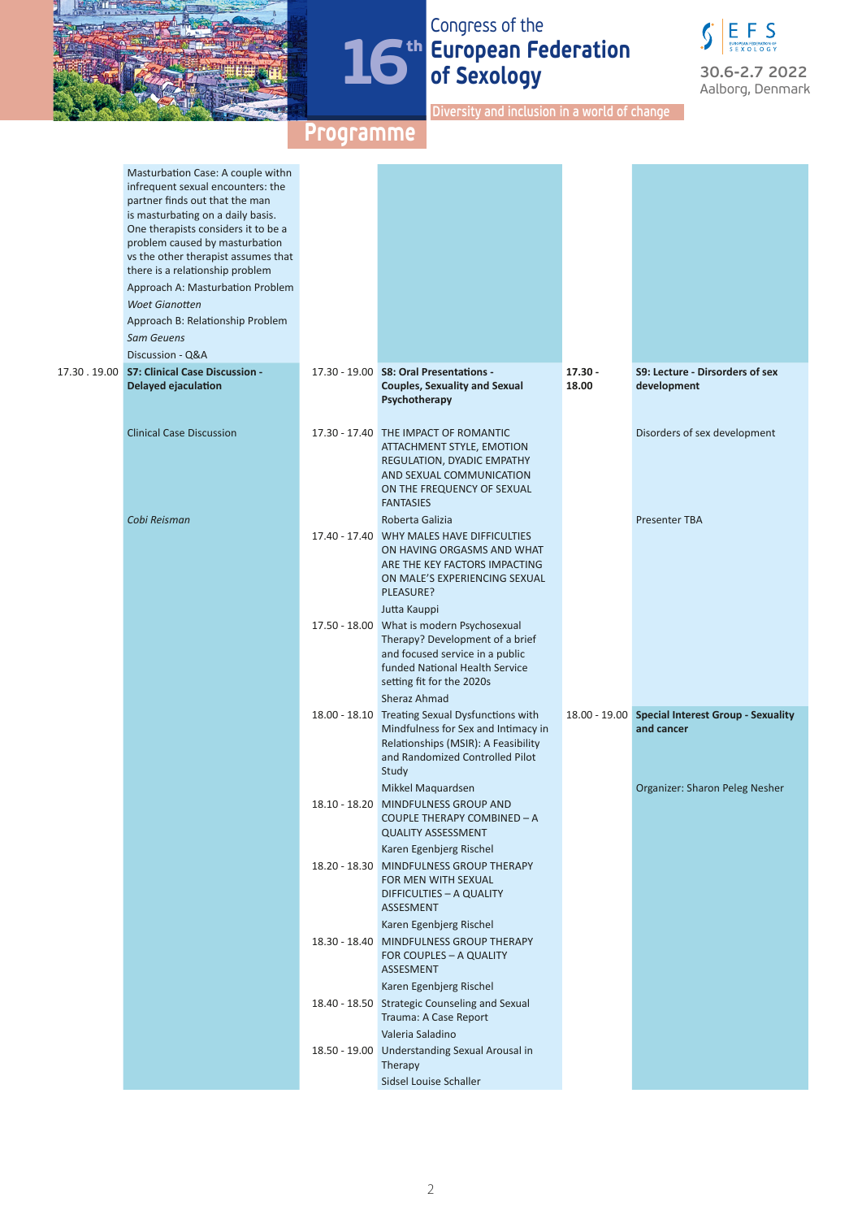

# Congress of the **European Federation of Sexology**



**Diversity and inclusion in a world of change**

| Masturbation Case: A couple withn<br>infrequent sexual encounters: the<br>partner finds out that the man<br>is masturbating on a daily basis.<br>One therapists considers it to be a<br>problem caused by masturbation<br>vs the other therapist assumes that<br>there is a relationship problem<br>Approach A: Masturbation Problem<br><b>Woet Gianotten</b><br>Approach B: Relationship Problem<br><b>Sam Geuens</b> |                                                                                                                                                                                                |                    |                                                                |
|------------------------------------------------------------------------------------------------------------------------------------------------------------------------------------------------------------------------------------------------------------------------------------------------------------------------------------------------------------------------------------------------------------------------|------------------------------------------------------------------------------------------------------------------------------------------------------------------------------------------------|--------------------|----------------------------------------------------------------|
| Discussion - Q&A                                                                                                                                                                                                                                                                                                                                                                                                       |                                                                                                                                                                                                |                    |                                                                |
| 17.30 . 19.00 S7: Clinical Case Discussion -<br>Delayed ejaculation                                                                                                                                                                                                                                                                                                                                                    | 17.30 - 19.00 S8: Oral Presentations -<br><b>Couples, Sexuality and Sexual</b><br>Psychotherapy                                                                                                | $17.30 -$<br>18.00 | S9: Lecture - Dirsorders of sex<br>development                 |
| <b>Clinical Case Discussion</b>                                                                                                                                                                                                                                                                                                                                                                                        | 17.30 - 17.40 THE IMPACT OF ROMANTIC<br>ATTACHMENT STYLE, EMOTION<br>REGULATION, DYADIC EMPATHY<br>AND SEXUAL COMMUNICATION<br>ON THE FREQUENCY OF SEXUAL<br><b>FANTASIES</b>                  |                    | Disorders of sex development                                   |
| Cobi Reisman                                                                                                                                                                                                                                                                                                                                                                                                           | Roberta Galizia<br>17.40 - 17.40 WHY MALES HAVE DIFFICULTIES<br>ON HAVING ORGASMS AND WHAT<br>ARE THE KEY FACTORS IMPACTING<br>ON MALE'S EXPERIENCING SEXUAL<br>PLEASURE?<br>Jutta Kauppi      |                    | <b>Presenter TBA</b>                                           |
|                                                                                                                                                                                                                                                                                                                                                                                                                        | 17.50 - 18.00 What is modern Psychosexual<br>Therapy? Development of a brief<br>and focused service in a public<br>funded National Health Service<br>setting fit for the 2020s<br>Sheraz Ahmad |                    |                                                                |
|                                                                                                                                                                                                                                                                                                                                                                                                                        | 18.00 - 18.10 Treating Sexual Dysfunctions with<br>Mindfulness for Sex and Intimacy in<br>Relationships (MSIR): A Feasibility<br>and Randomized Controlled Pilot<br>Study                      |                    | 18.00 - 19.00 Special Interest Group - Sexuality<br>and cancer |
|                                                                                                                                                                                                                                                                                                                                                                                                                        | Mikkel Maquardsen<br>18.10 - 18.20 MINDFULNESS GROUP AND<br>COUPLE THERAPY COMBINED - A<br><b>QUALITY ASSESSMENT</b>                                                                           |                    | Organizer: Sharon Peleg Nesher                                 |
|                                                                                                                                                                                                                                                                                                                                                                                                                        | Karen Egenbjerg Rischel<br>18.20 - 18.30 MINDFULNESS GROUP THERAPY<br>FOR MEN WITH SEXUAL<br>DIFFICULTIES - A QUALITY<br>ASSESMENT                                                             |                    |                                                                |
|                                                                                                                                                                                                                                                                                                                                                                                                                        | Karen Egenbjerg Rischel<br>18.30 - 18.40 MINDFULNESS GROUP THERAPY<br>FOR COUPLES - A QUALITY<br>ASSESMENT                                                                                     |                    |                                                                |
|                                                                                                                                                                                                                                                                                                                                                                                                                        | Karen Egenbjerg Rischel<br>18.40 - 18.50 Strategic Counseling and Sexual<br>Trauma: A Case Report<br>Valeria Saladino                                                                          |                    |                                                                |
|                                                                                                                                                                                                                                                                                                                                                                                                                        | 18.50 - 19.00 Understanding Sexual Arousal in<br><b>Therapy</b><br>Sidsel Louise Schaller                                                                                                      |                    |                                                                |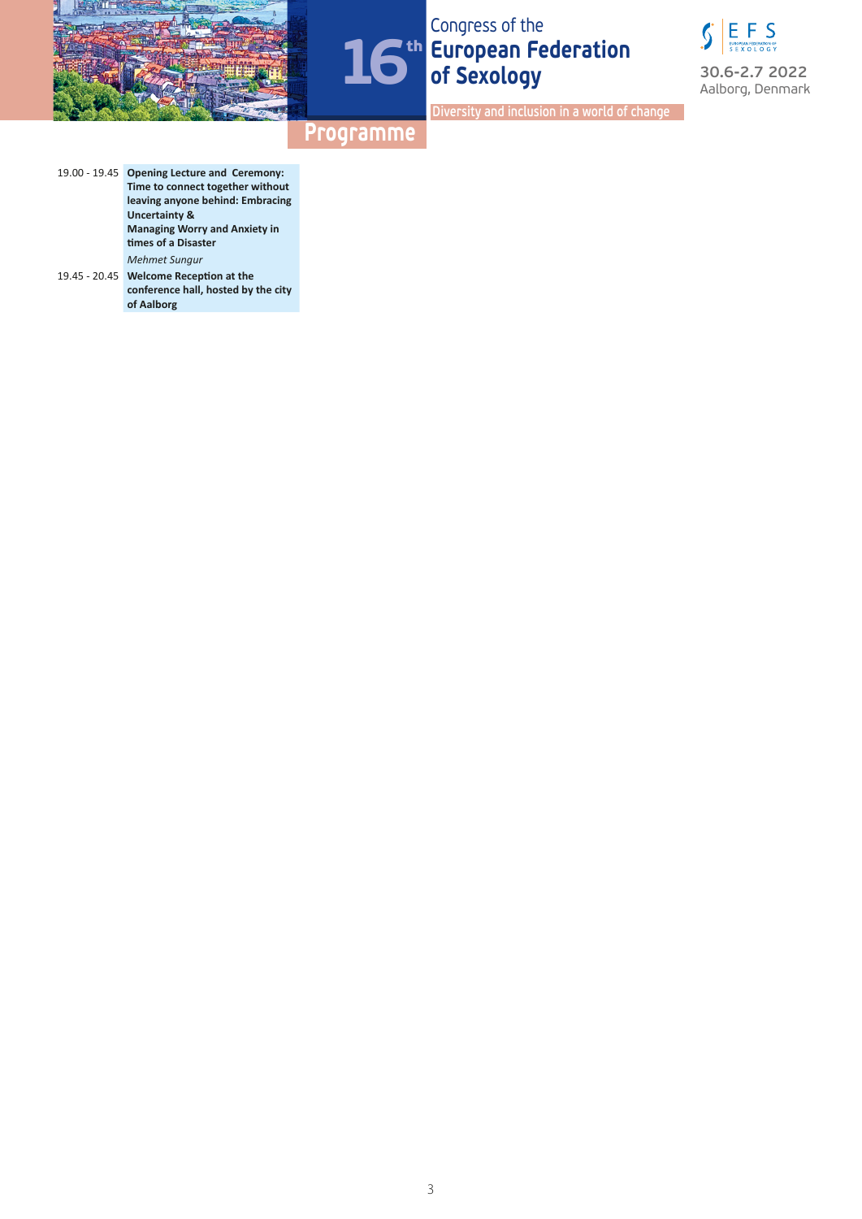





**Diversity and inclusion in a world of change**

- 19.00 19.45 **Opening Lecture and Ceremony: Time to connect together without leaving anyone behind: Embracing Uncertainty & Managing Worry and Anxiety in times of a Disaster** *Mehmet Sungur*
- 19.45 20.45 **Welcome Reception at the conference hall, hosted by the city of Aalborg**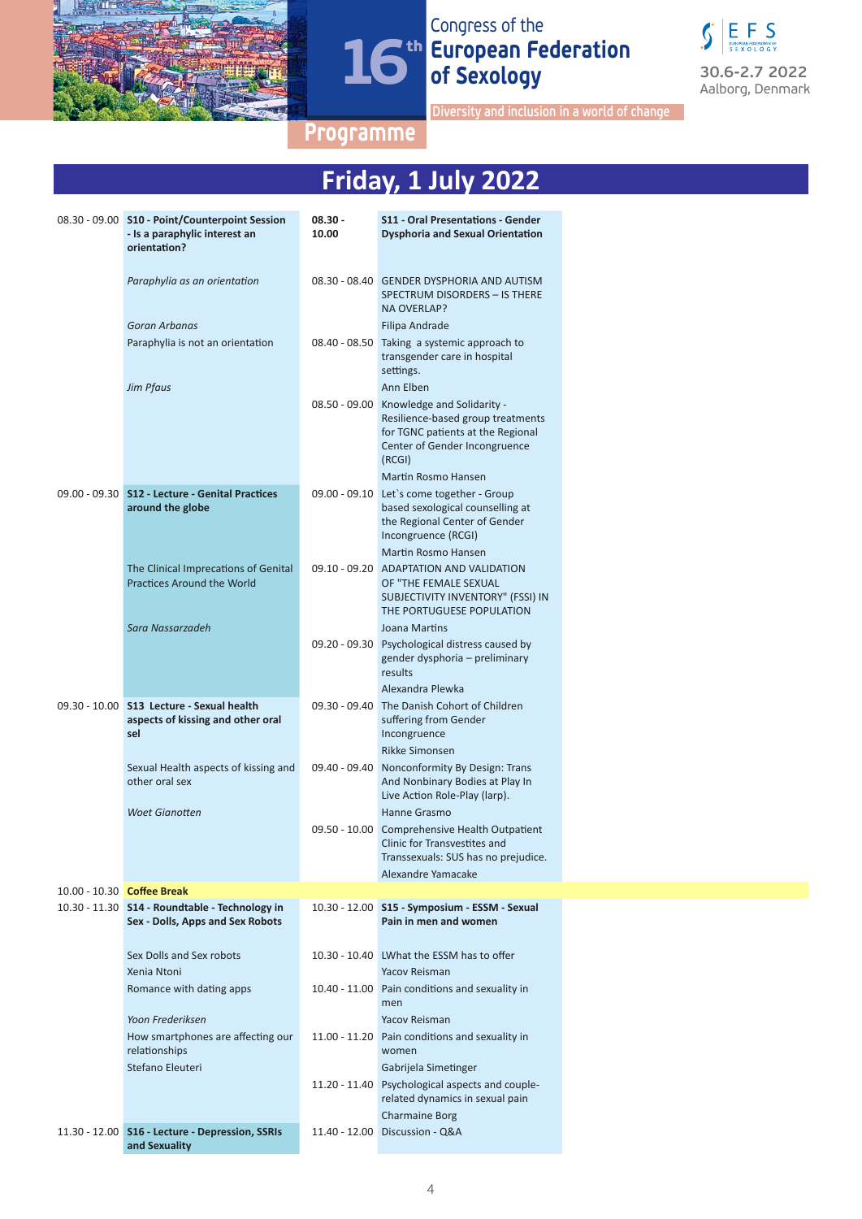



**Diversity and inclusion in a world of change**

|        |           | Friday, 1 July 2022               |
|--------|-----------|-----------------------------------|
|        |           |                                   |
| ession | $08.30 -$ | S11 - Oral Presentations - Gender |

| 08.30 - 09.00 S10 - Point/Counterpoint Session<br>- Is a paraphylic interest an<br>orientation? | $08.30 -$<br>10.00 | S11 - Oral Presentations - Gender<br><b>Dysphoria and Sexual Orientation</b>                                                                                                        |  |
|-------------------------------------------------------------------------------------------------|--------------------|-------------------------------------------------------------------------------------------------------------------------------------------------------------------------------------|--|
| Paraphylia as an orientation                                                                    |                    | 08.30 - 08.40 GENDER DYSPHORIA AND AUTISM<br>SPECTRUM DISORDERS - IS THERE<br><b>NA OVERLAP?</b>                                                                                    |  |
| Goran Arbanas                                                                                   |                    | Filipa Andrade                                                                                                                                                                      |  |
| Paraphylia is not an orientation                                                                | $08.40 - 08.50$    | Taking a systemic approach to<br>transgender care in hospital<br>settings.                                                                                                          |  |
| Jim Pfaus                                                                                       | $08.50 - 09.00$    | Ann Elben<br>Knowledge and Solidarity -<br>Resilience-based group treatments<br>for TGNC patients at the Regional<br>Center of Gender Incongruence<br>(RCGI)<br>Martin Rosmo Hansen |  |
| 09.00 - 09.30 S12 - Lecture - Genital Practices<br>around the globe                             |                    | 09.00 - 09.10 Let's come together - Group<br>based sexological counselling at<br>the Regional Center of Gender<br>Incongruence (RCGI)                                               |  |
|                                                                                                 |                    | Martin Rosmo Hansen                                                                                                                                                                 |  |
| The Clinical Imprecations of Genital<br><b>Practices Around the World</b>                       | $09.10 - 09.20$    | ADAPTATION AND VALIDATION<br>OF "THE FEMALE SEXUAL<br>SUBJECTIVITY INVENTORY" (FSSI) IN                                                                                             |  |
|                                                                                                 |                    | THE PORTUGUESE POPULATION                                                                                                                                                           |  |
| Sara Nassarzadeh                                                                                | $09.20 - 09.30$    | <b>Joana Martins</b><br>Psychological distress caused by<br>gender dysphoria – preliminary<br>results                                                                               |  |
|                                                                                                 |                    | Alexandra Plewka                                                                                                                                                                    |  |
| 09.30 - 10.00 S13 Lecture - Sexual health<br>aspects of kissing and other oral<br>sel           | $09.30 - 09.40$    | The Danish Cohort of Children<br>suffering from Gender<br>Incongruence                                                                                                              |  |
| Sexual Health aspects of kissing and<br>other oral sex                                          | 09.40 - 09.40      | <b>Rikke Simonsen</b><br>Nonconformity By Design: Trans<br>And Nonbinary Bodies at Play In<br>Live Action Role-Play (larp).                                                         |  |
| <b>Woet Gianotten</b>                                                                           |                    | Hanne Grasmo                                                                                                                                                                        |  |
|                                                                                                 | $09.50 - 10.00$    | Comprehensive Health Outpatient<br>Clinic for Transvestites and<br>Transsexuals: SUS has no prejudice.                                                                              |  |
|                                                                                                 |                    | Alexandre Yamacake                                                                                                                                                                  |  |
| 10.00 - 10.30 Coffee Break<br>10.30 - 11.30 S14 - Roundtable - Technology in                    |                    | 10.30 - 12.00 S15 - Symposium - ESSM - Sexual                                                                                                                                       |  |
| Sex - Dolls, Apps and Sex Robots                                                                |                    | Pain in men and women                                                                                                                                                               |  |
| Sex Dolls and Sex robots                                                                        |                    | 10.30 - 10.40 LWhat the ESSM has to offer                                                                                                                                           |  |
| Xenia Ntoni                                                                                     |                    | <b>Yacov Reisman</b>                                                                                                                                                                |  |
| Romance with dating apps<br>Yoon Frederiksen                                                    |                    | 10.40 - 11.00 Pain conditions and sexuality in<br>men<br><b>Yacov Reisman</b>                                                                                                       |  |
| How smartphones are affecting our<br>relationships                                              | $11.00 - 11.20$    | Pain conditions and sexuality in<br>women                                                                                                                                           |  |
| Stefano Eleuteri                                                                                | $11.20 - 11.40$    | Gabrijela Simetinger<br>Psychological aspects and couple-<br>related dynamics in sexual pain                                                                                        |  |
| 11.30 - 12.00 S16 - Lecture - Depression, SSRIs<br>and Sexuality                                |                    | <b>Charmaine Borg</b><br>11.40 - 12.00 Discussion - Q&A                                                                                                                             |  |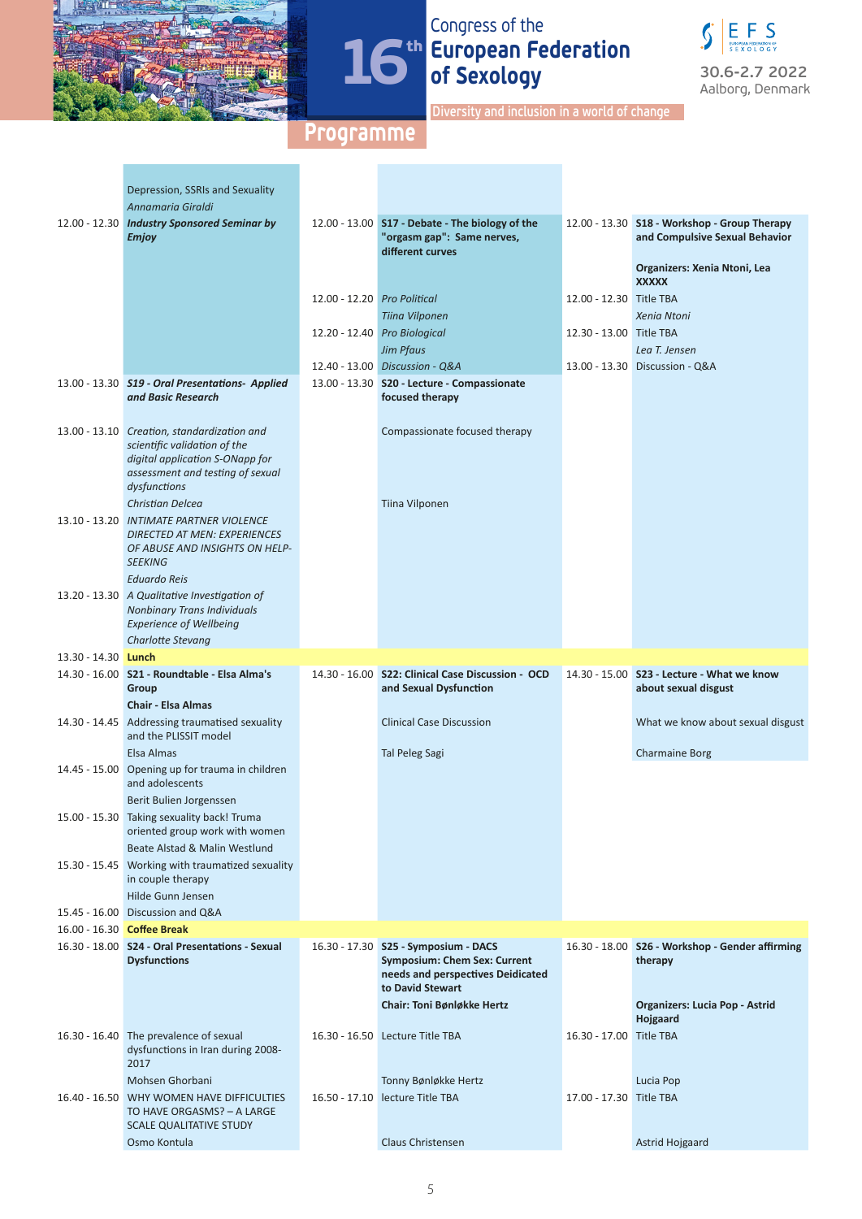



**Diversity and inclusion in a world of change**

|                            | Depression, SSRIs and Sexuality                                                                                                                                    |                             |                                                                                                                  |                         |                                                                                |
|----------------------------|--------------------------------------------------------------------------------------------------------------------------------------------------------------------|-----------------------------|------------------------------------------------------------------------------------------------------------------|-------------------------|--------------------------------------------------------------------------------|
|                            | Annamaria Giraldi                                                                                                                                                  |                             |                                                                                                                  |                         |                                                                                |
|                            | 12.00 - 12.30 Industry Sponsored Seminar by<br><b>Emjoy</b>                                                                                                        |                             | 12.00 - 13.00 S17 - Debate - The biology of the<br>"orgasm gap": Same nerves,<br>different curves                |                         | 12.00 - 13.30 S18 - Workshop - Group Therapy<br>and Compulsive Sexual Behavior |
|                            |                                                                                                                                                                    |                             |                                                                                                                  |                         | Organizers: Xenia Ntoni, Lea<br><b>XXXXX</b>                                   |
|                            |                                                                                                                                                                    | 12.00 - 12.20 Pro Political |                                                                                                                  | 12.00 - 12.30 Title TBA |                                                                                |
|                            |                                                                                                                                                                    |                             | Tiina Vilponen                                                                                                   |                         | Xenia Ntoni                                                                    |
|                            |                                                                                                                                                                    |                             | 12.20 - 12.40 Pro Biological                                                                                     | 12.30 - 13.00 Title TBA |                                                                                |
|                            |                                                                                                                                                                    |                             | <b>Jim Pfaus</b>                                                                                                 |                         | Lea T. Jensen                                                                  |
|                            |                                                                                                                                                                    |                             | 12.40 - 13.00 Discussion - Q&A                                                                                   |                         | 13.00 - 13.30 Discussion - Q&A                                                 |
|                            | 13.00 - 13.30 S19 - Oral Presentations- Applied                                                                                                                    |                             | 13.00 - 13.30 S20 - Lecture - Compassionate                                                                      |                         |                                                                                |
|                            | and Basic Research                                                                                                                                                 |                             | focused therapy                                                                                                  |                         |                                                                                |
|                            | 13.00 - 13.10 Creation, standardization and<br>scientific validation of the<br>digital application S-ONapp for<br>assessment and testing of sexual<br>dysfunctions |                             | Compassionate focused therapy                                                                                    |                         |                                                                                |
|                            | Christian Delcea                                                                                                                                                   |                             | Tiina Vilponen                                                                                                   |                         |                                                                                |
|                            | 13.10 - 13.20 INTIMATE PARTNER VIOLENCE<br><b>DIRECTED AT MEN: EXPERIENCES</b><br>OF ABUSE AND INSIGHTS ON HELP-<br><b>SEEKING</b>                                 |                             |                                                                                                                  |                         |                                                                                |
|                            | <b>Eduardo Reis</b>                                                                                                                                                |                             |                                                                                                                  |                         |                                                                                |
|                            | 13.20 - 13.30 A Qualitative Investigation of<br><b>Nonbinary Trans Individuals</b><br><b>Experience of Wellbeing</b>                                               |                             |                                                                                                                  |                         |                                                                                |
|                            | Charlotte Stevang                                                                                                                                                  |                             |                                                                                                                  |                         |                                                                                |
| 13.30 - 14.30 <b>Lunch</b> |                                                                                                                                                                    |                             |                                                                                                                  |                         |                                                                                |
|                            | 14.30 - 16.00 S21 - Roundtable - Elsa Alma's                                                                                                                       |                             | 14.30 - 16.00 S22: Clinical Case Discussion - OCD                                                                |                         | 14.30 - 15.00 S23 - Lecture - What we know                                     |
|                            | Group                                                                                                                                                              |                             | and Sexual Dysfunction                                                                                           |                         | about sexual disgust                                                           |
|                            | <b>Chair - Elsa Almas</b>                                                                                                                                          |                             |                                                                                                                  |                         |                                                                                |
|                            | 14.30 - 14.45 Addressing traumatised sexuality<br>and the PLISSIT model                                                                                            |                             | <b>Clinical Case Discussion</b>                                                                                  |                         | What we know about sexual disgust                                              |
|                            | Elsa Almas                                                                                                                                                         |                             | <b>Tal Peleg Sagi</b>                                                                                            |                         | <b>Charmaine Borg</b>                                                          |
|                            | 14.45 - 15.00 Opening up for trauma in children<br>and adolescents                                                                                                 |                             |                                                                                                                  |                         |                                                                                |
|                            | Berit Bulien Jorgenssen                                                                                                                                            |                             |                                                                                                                  |                         |                                                                                |
|                            | 15.00 - 15.30 Taking sexuality back! Truma<br>oriented group work with women                                                                                       |                             |                                                                                                                  |                         |                                                                                |
|                            | Beate Alstad & Malin Westlund<br>15.30 - 15.45 Working with traumatized sexuality                                                                                  |                             |                                                                                                                  |                         |                                                                                |
|                            | in couple therapy                                                                                                                                                  |                             |                                                                                                                  |                         |                                                                                |
|                            | Hilde Gunn Jensen                                                                                                                                                  |                             |                                                                                                                  |                         |                                                                                |
|                            | 15.45 - 16.00 Discussion and Q&A                                                                                                                                   |                             |                                                                                                                  |                         |                                                                                |
|                            | 16.00 - 16.30 Coffee Break                                                                                                                                         |                             |                                                                                                                  |                         |                                                                                |
|                            | 16.30 - 18.00 S24 - Oral Presentations - Sexual<br><b>Dysfunctions</b>                                                                                             |                             | 16.30 - 17.30 S25 - Symposium - DACS<br><b>Symposium: Chem Sex: Current</b><br>needs and perspectives Deidicated |                         | 16.30 - 18.00 S26 - Workshop - Gender affirming<br>therapy                     |
|                            |                                                                                                                                                                    |                             | to David Stewart                                                                                                 |                         |                                                                                |
|                            |                                                                                                                                                                    |                             | Chair: Toni Bønløkke Hertz                                                                                       |                         | Organizers: Lucia Pop - Astrid<br>Hojgaard                                     |
|                            | 16.30 - 16.40 The prevalence of sexual<br>dysfunctions in Iran during 2008-<br>2017                                                                                |                             | 16.30 - 16.50 Lecture Title TBA                                                                                  | 16.30 - 17.00 Title TBA |                                                                                |
|                            | Mohsen Ghorbani                                                                                                                                                    |                             | Tonny Bønløkke Hertz                                                                                             |                         | Lucia Pop                                                                      |
|                            | 16.40 - 16.50 WHY WOMEN HAVE DIFFICULTIES                                                                                                                          |                             | 16.50 - 17.10 lecture Title TBA                                                                                  | 17.00 - 17.30 Title TBA |                                                                                |
|                            | TO HAVE ORGASMS? - A LARGE<br><b>SCALE QUALITATIVE STUDY</b>                                                                                                       |                             |                                                                                                                  |                         |                                                                                |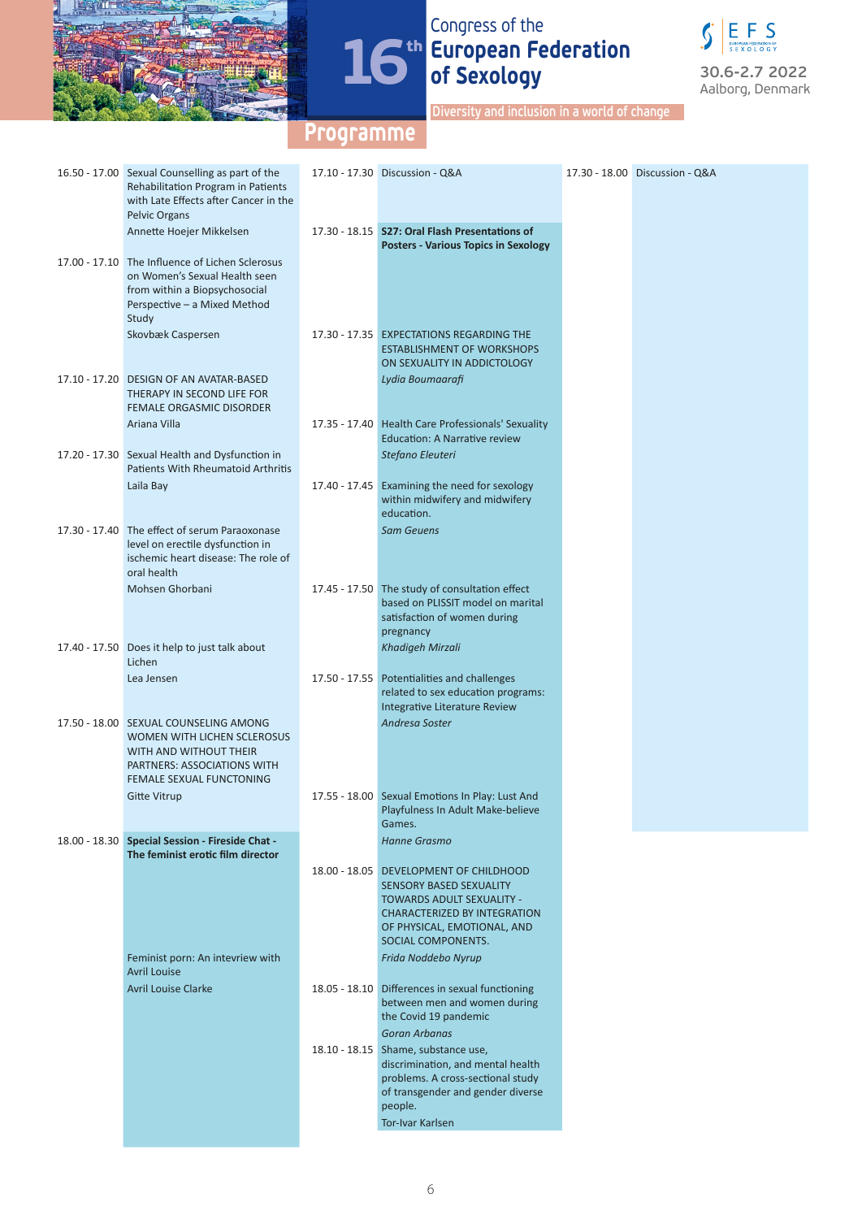



**Diversity and inclusion in a world of change**

| 16.50 - 17.00 Sexual Counselling as part of the<br>Rehabilitation Program in Patients<br>with Late Effects after Cancer in the<br>Pelvic Organs            | 17.10 - 17.30 Discussion - Q&A                                                                                                                                                                    | 17.30 - 18.00 Discussion - Q&A |
|------------------------------------------------------------------------------------------------------------------------------------------------------------|---------------------------------------------------------------------------------------------------------------------------------------------------------------------------------------------------|--------------------------------|
| Annette Hoejer Mikkelsen                                                                                                                                   | 17.30 - 18.15 S27: Oral Flash Presentations of<br><b>Posters - Various Topics in Sexology</b>                                                                                                     |                                |
| 17.00 - 17.10 The Influence of Lichen Sclerosus<br>on Women's Sexual Health seen<br>from within a Biopsychosocial<br>Perspective - a Mixed Method<br>Study |                                                                                                                                                                                                   |                                |
| Skovbæk Caspersen                                                                                                                                          | 17.30 - 17.35 EXPECTATIONS REGARDING THE<br><b>ESTABLISHMENT OF WORKSHOPS</b><br>ON SEXUALITY IN ADDICTOLOGY                                                                                      |                                |
| 17.10 - 17.20 DESIGN OF AN AVATAR-BASED<br>THERAPY IN SECOND LIFE FOR<br>FEMALE ORGASMIC DISORDER                                                          | Lydia Boumaarafi                                                                                                                                                                                  |                                |
| Ariana Villa                                                                                                                                               | 17.35 - 17.40 Health Care Professionals' Sexuality<br><b>Education: A Narrative review</b>                                                                                                        |                                |
| 17.20 - 17.30 Sexual Health and Dysfunction in<br><b>Patients With Rheumatoid Arthritis</b>                                                                | Stefano Eleuteri                                                                                                                                                                                  |                                |
| Laila Bay                                                                                                                                                  | 17.40 - 17.45 Examining the need for sexology<br>within midwifery and midwifery<br>education.                                                                                                     |                                |
| 17.30 - 17.40 The effect of serum Paraoxonase<br>level on erectile dysfunction in<br>ischemic heart disease: The role of<br>oral health                    | <b>Sam Geuens</b>                                                                                                                                                                                 |                                |
| Mohsen Ghorbani                                                                                                                                            | 17.45 - 17.50 The study of consultation effect<br>based on PLISSIT model on marital<br>satisfaction of women during                                                                               |                                |
| 17.40 - 17.50 Does it help to just talk about<br>Lichen                                                                                                    | pregnancy<br>Khadigeh Mirzali                                                                                                                                                                     |                                |
| Lea Jensen                                                                                                                                                 | 17.50 - 17.55 Potentialities and challenges<br>related to sex education programs:<br>Integrative Literature Review                                                                                |                                |
| 17.50 - 18.00 SEXUAL COUNSELING AMONG<br>WOMEN WITH LICHEN SCLEROSUS<br>WITH AND WITHOUT THEIR<br>PARTNERS: ASSOCIATIONS WITH<br>FEMALE SEXUAL FUNCTONING  | Andresa Soster                                                                                                                                                                                    |                                |
| <b>Gitte Vitrup</b>                                                                                                                                        | 17.55 - 18.00 Sexual Emotions In Play: Lust And<br>Playfulness In Adult Make-believe<br>Games.                                                                                                    |                                |
| 18.00 - 18.30 Special Session - Fireside Chat -<br>The feminist erotic film director                                                                       | Hanne Grasmo                                                                                                                                                                                      |                                |
|                                                                                                                                                            | 18.00 - 18.05 DEVELOPMENT OF CHILDHOOD<br><b>SENSORY BASED SEXUALITY</b><br><b>TOWARDS ADULT SEXUALITY -</b><br>CHARACTERIZED BY INTEGRATION<br>OF PHYSICAL, EMOTIONAL, AND<br>SOCIAL COMPONENTS. |                                |
| Feminist porn: An intevriew with<br><b>Avril Louise</b>                                                                                                    | Frida Noddebo Nyrup                                                                                                                                                                               |                                |
| <b>Avril Louise Clarke</b>                                                                                                                                 | 18.05 - 18.10 Differences in sexual functioning<br>between men and women during<br>the Covid 19 pandemic<br><b>Goran Arbanas</b>                                                                  |                                |
|                                                                                                                                                            | 18.10 - 18.15 Shame, substance use,<br>discrimination, and mental health<br>problems. A cross-sectional study<br>of transgender and gender diverse<br>people.<br>Tor-Ivar Karlsen                 |                                |
|                                                                                                                                                            |                                                                                                                                                                                                   |                                |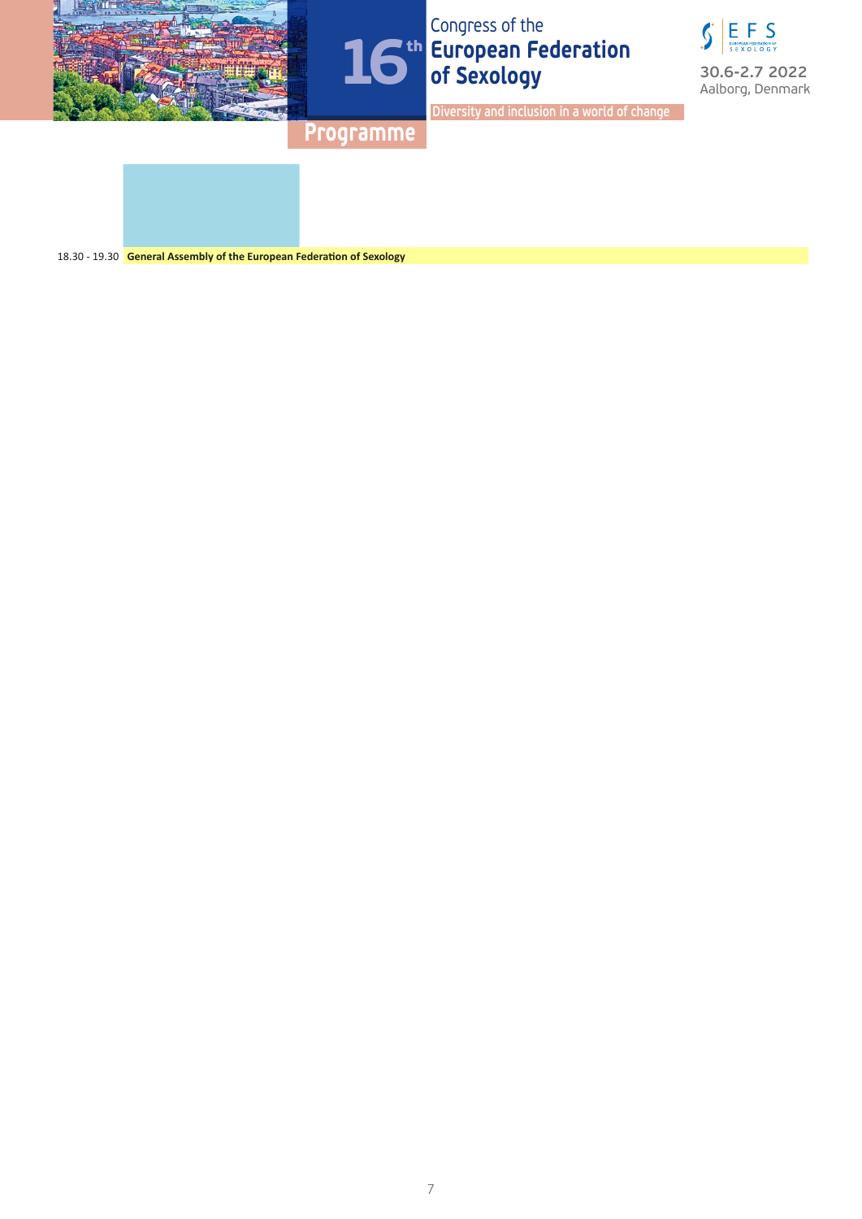







**Diversity and inclusion in a world of change**

**Programme**

18.30 - 19.30 **General Assembly of the European Federation of Sexology**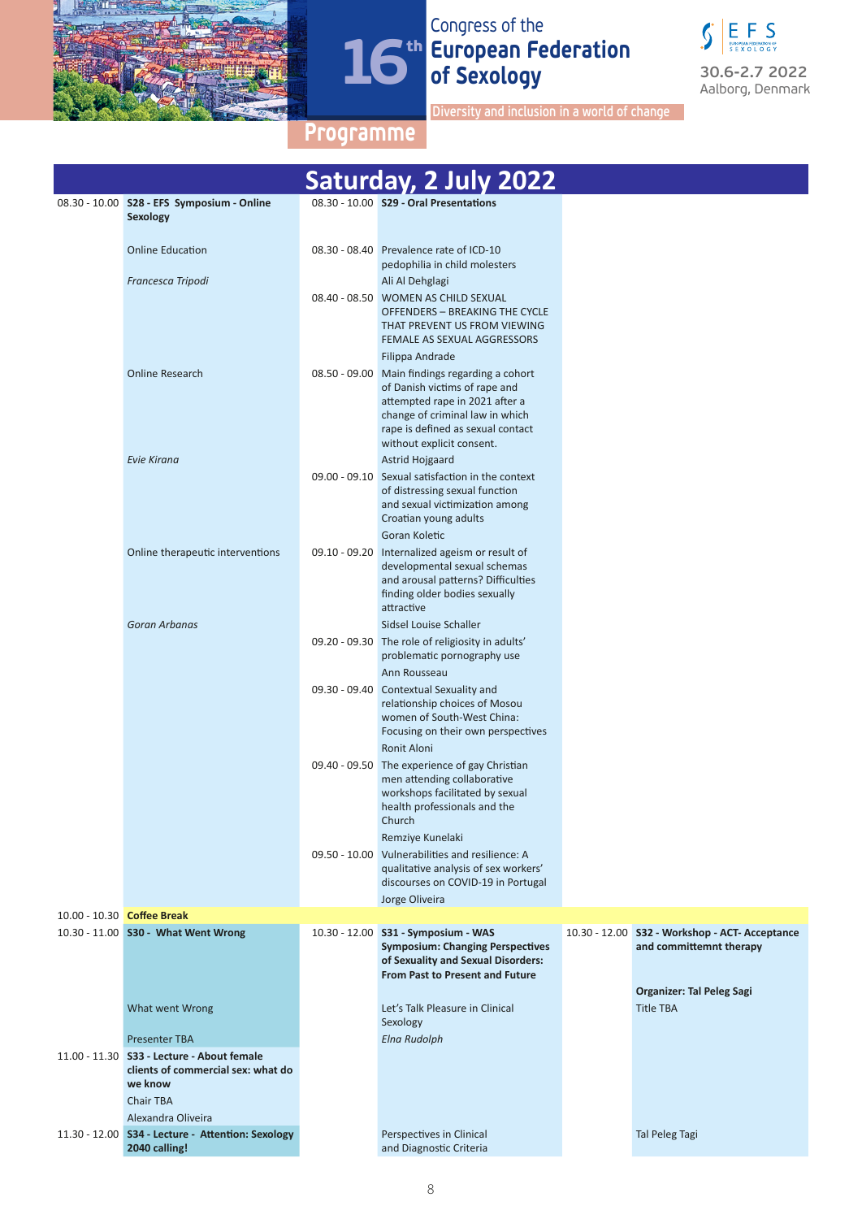



**Diversity and inclusion in a world of change**

|                                                                                                                                         | Saturday, 2 July 2022                                                                                                                                                                                        |                                                                           |
|-----------------------------------------------------------------------------------------------------------------------------------------|--------------------------------------------------------------------------------------------------------------------------------------------------------------------------------------------------------------|---------------------------------------------------------------------------|
| 08.30 - 10.00 S28 - EFS Symposium - Online<br>Sexology                                                                                  | 08.30 - 10.00 S29 - Oral Presentations                                                                                                                                                                       |                                                                           |
| <b>Online Education</b>                                                                                                                 | 08.30 - 08.40 Prevalence rate of ICD-10<br>pedophilia in child molesters                                                                                                                                     |                                                                           |
| Francesca Tripodi                                                                                                                       | Ali Al Dehglagi                                                                                                                                                                                              |                                                                           |
|                                                                                                                                         | 08.40 - 08.50 WOMEN AS CHILD SEXUAL<br>OFFENDERS - BREAKING THE CYCLE<br>THAT PREVENT US FROM VIEWING<br>FEMALE AS SEXUAL AGGRESSORS                                                                         |                                                                           |
| <b>Online Research</b>                                                                                                                  | Filippa Andrade<br>08.50 - 09.00 Main findings regarding a cohort<br>of Danish victims of rape and<br>attempted rape in 2021 after a<br>change of criminal law in which<br>rape is defined as sexual contact |                                                                           |
|                                                                                                                                         | without explicit consent.                                                                                                                                                                                    |                                                                           |
| Evie Kirana                                                                                                                             | Astrid Hojgaard<br>09.00 - 09.10 Sexual satisfaction in the context<br>of distressing sexual function<br>and sexual victimization among<br>Croatian young adults                                             |                                                                           |
|                                                                                                                                         | Goran Koletic                                                                                                                                                                                                |                                                                           |
| Online therapeutic interventions                                                                                                        | 09.10 - 09.20 Internalized ageism or result of<br>developmental sexual schemas<br>and arousal patterns? Difficulties<br>finding older bodies sexually<br>attractive                                          |                                                                           |
| Goran Arbanas                                                                                                                           | Sidsel Louise Schaller                                                                                                                                                                                       |                                                                           |
|                                                                                                                                         | 09.20 - 09.30 The role of religiosity in adults'<br>problematic pornography use                                                                                                                              |                                                                           |
|                                                                                                                                         | Ann Rousseau<br>09.30 - 09.40 Contextual Sexuality and<br>relationship choices of Mosou<br>women of South-West China:<br>Focusing on their own perspectives                                                  |                                                                           |
|                                                                                                                                         | Ronit Aloni<br>09.40 - 09.50 The experience of gay Christian<br>men attending collaborative<br>workshops facilitated by sexual<br>health professionals and the<br>Church                                     |                                                                           |
|                                                                                                                                         | Remziye Kunelaki<br>09.50 - 10.00 Vulnerabilities and resilience: A<br>qualitative analysis of sex workers'<br>discourses on COVID-19 in Portugal<br>Jorge Oliveira                                          |                                                                           |
| 10.00 - 10.30 Coffee Break                                                                                                              |                                                                                                                                                                                                              |                                                                           |
| 10.30 - 11.00 S30 - What Went Wrong                                                                                                     | 10.30 - 12.00 S31 - Symposium - WAS<br><b>Symposium: Changing Perspectives</b><br>of Sexuality and Sexual Disorders:<br><b>From Past to Present and Future</b>                                               | 10.30 - 12.00 S32 - Workshop - ACT- Acceptance<br>and committemnt therapy |
| What went Wrong                                                                                                                         | Let's Talk Pleasure in Clinical<br>Sexology                                                                                                                                                                  | Organizer: Tal Peleg Sagi<br><b>Title TBA</b>                             |
| <b>Presenter TBA</b><br>11.00 - 11.30 S33 - Lecture - About female<br>clients of commercial sex: what do<br>we know<br><b>Chair TBA</b> | <b>Elna Rudolph</b>                                                                                                                                                                                          |                                                                           |
| Alexandra Oliveira                                                                                                                      |                                                                                                                                                                                                              |                                                                           |
| 11.30 - 12.00 S34 - Lecture - Attention: Sexology<br>2040 calling!                                                                      | Perspectives in Clinical<br>and Diagnostic Criteria                                                                                                                                                          | Tal Peleg Tagi                                                            |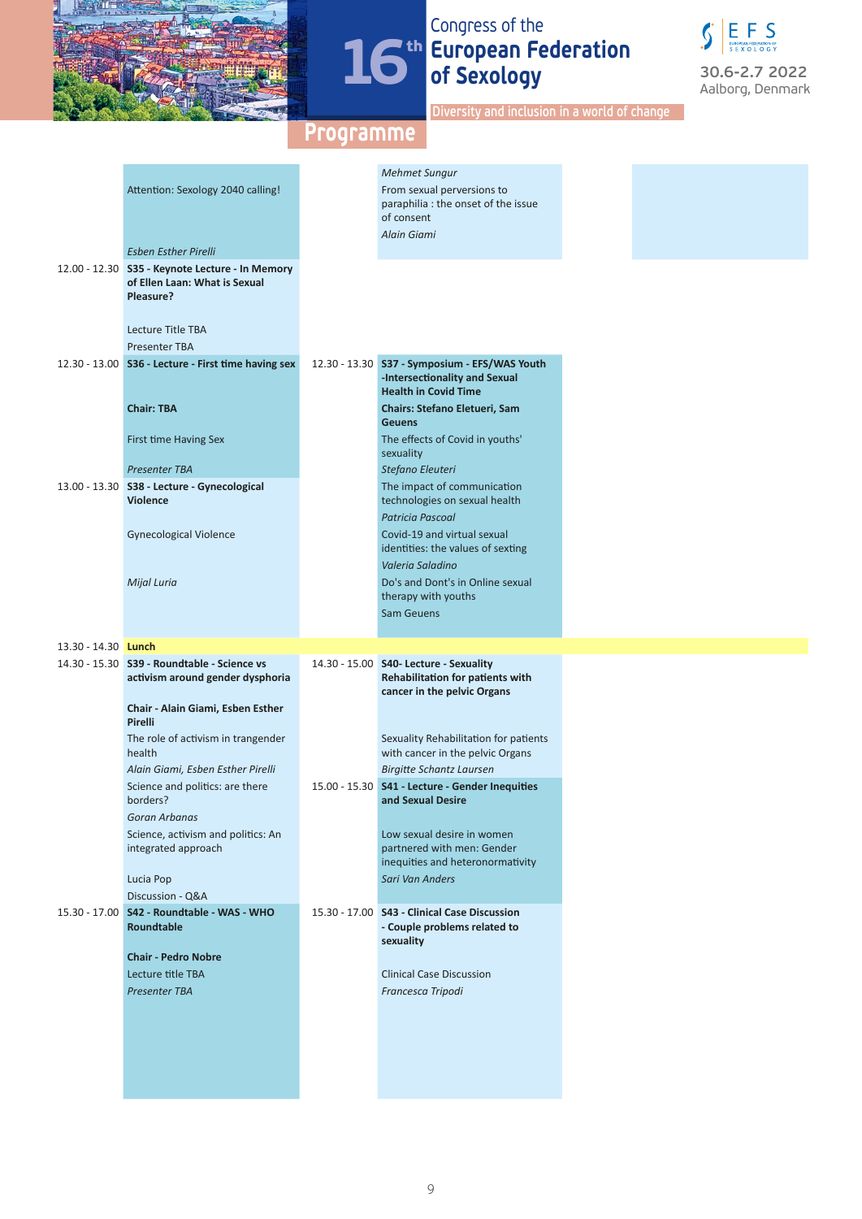



**Diversity and inclusion in a world of change**

|                            |                                                     | <b>Mehmet Sungur</b>                                                       |
|----------------------------|-----------------------------------------------------|----------------------------------------------------------------------------|
|                            | Attention: Sexology 2040 calling!                   | From sexual perversions to                                                 |
|                            |                                                     | paraphilia : the onset of the issue                                        |
|                            |                                                     | of consent                                                                 |
|                            |                                                     | Alain Giami                                                                |
|                            | <b>Esben Esther Pirelli</b>                         |                                                                            |
|                            | 12.00 - 12.30 S35 - Keynote Lecture - In Memory     |                                                                            |
|                            | of Ellen Laan: What is Sexual                       |                                                                            |
|                            | Pleasure?                                           |                                                                            |
|                            |                                                     |                                                                            |
|                            | Lecture Title TBA                                   |                                                                            |
|                            | <b>Presenter TBA</b>                                |                                                                            |
|                            | 12.30 - 13.00 S36 - Lecture - First time having sex | 12.30 - 13.30 S37 - Symposium - EFS/WAS Youth                              |
|                            |                                                     | -Intersectionality and Sexual                                              |
|                            |                                                     | <b>Health in Covid Time</b>                                                |
|                            | <b>Chair: TBA</b>                                   | Chairs: Stefano Eletueri, Sam                                              |
|                            |                                                     | <b>Geuens</b>                                                              |
|                            | First time Having Sex                               | The effects of Covid in youths'                                            |
|                            |                                                     | sexuality                                                                  |
|                            | <b>Presenter TBA</b>                                | Stefano Eleuteri                                                           |
|                            | 13.00 - 13.30 S38 - Lecture - Gynecological         | The impact of communication                                                |
|                            | <b>Violence</b>                                     | technologies on sexual health                                              |
|                            |                                                     | <b>Patricia Pascoal</b>                                                    |
|                            | <b>Gynecological Violence</b>                       | Covid-19 and virtual sexual                                                |
|                            |                                                     | identities: the values of sexting                                          |
|                            |                                                     | Valeria Saladino                                                           |
|                            | Mijal Luria                                         | Do's and Dont's in Online sexual                                           |
|                            |                                                     | therapy with youths                                                        |
|                            |                                                     | <b>Sam Geuens</b>                                                          |
|                            |                                                     |                                                                            |
|                            |                                                     |                                                                            |
| 13.30 - 14.30 <b>Lunch</b> |                                                     |                                                                            |
|                            |                                                     |                                                                            |
|                            | 14.30 - 15.30 S39 - Roundtable - Science vs         | 14.30 - 15.00 S40- Lecture - Sexuality<br>Rehabilitation for patients with |
|                            | activism around gender dysphoria                    | cancer in the pelvic Organs                                                |
|                            | Chair - Alain Giami, Esben Esther                   |                                                                            |
|                            | Pirelli                                             |                                                                            |
|                            | The role of activism in trangender                  | Sexuality Rehabilitation for patients                                      |
|                            | health                                              | with cancer in the pelvic Organs                                           |
|                            | Alain Giami, Esben Esther Pirelli                   | <b>Birgitte Schantz Laursen</b>                                            |
|                            | Science and politics: are there                     | 15.00 - 15.30 S41 - Lecture - Gender Inequities                            |
|                            | borders?                                            | and Sexual Desire                                                          |
|                            | Goran Arbanas                                       |                                                                            |
|                            |                                                     | Low sexual desire in women                                                 |
|                            | Science, activism and politics: An                  | partnered with men: Gender                                                 |
|                            | integrated approach                                 | inequities and heteronormativity                                           |
|                            |                                                     | <b>Sari Van Anders</b>                                                     |
|                            | Lucia Pop                                           |                                                                            |
|                            | Discussion - Q&A                                    |                                                                            |
|                            | 15.30 - 17.00 S42 - Roundtable - WAS - WHO          | 15.30 - 17.00 S43 - Clinical Case Discussion                               |
|                            | Roundtable                                          | - Couple problems related to                                               |
|                            |                                                     | sexuality                                                                  |
|                            | <b>Chair - Pedro Nobre</b>                          |                                                                            |
|                            | Lecture title TBA                                   | <b>Clinical Case Discussion</b>                                            |
|                            | <b>Presenter TBA</b>                                | Francesca Tripodi                                                          |
|                            |                                                     |                                                                            |
|                            |                                                     |                                                                            |
|                            |                                                     |                                                                            |
|                            |                                                     |                                                                            |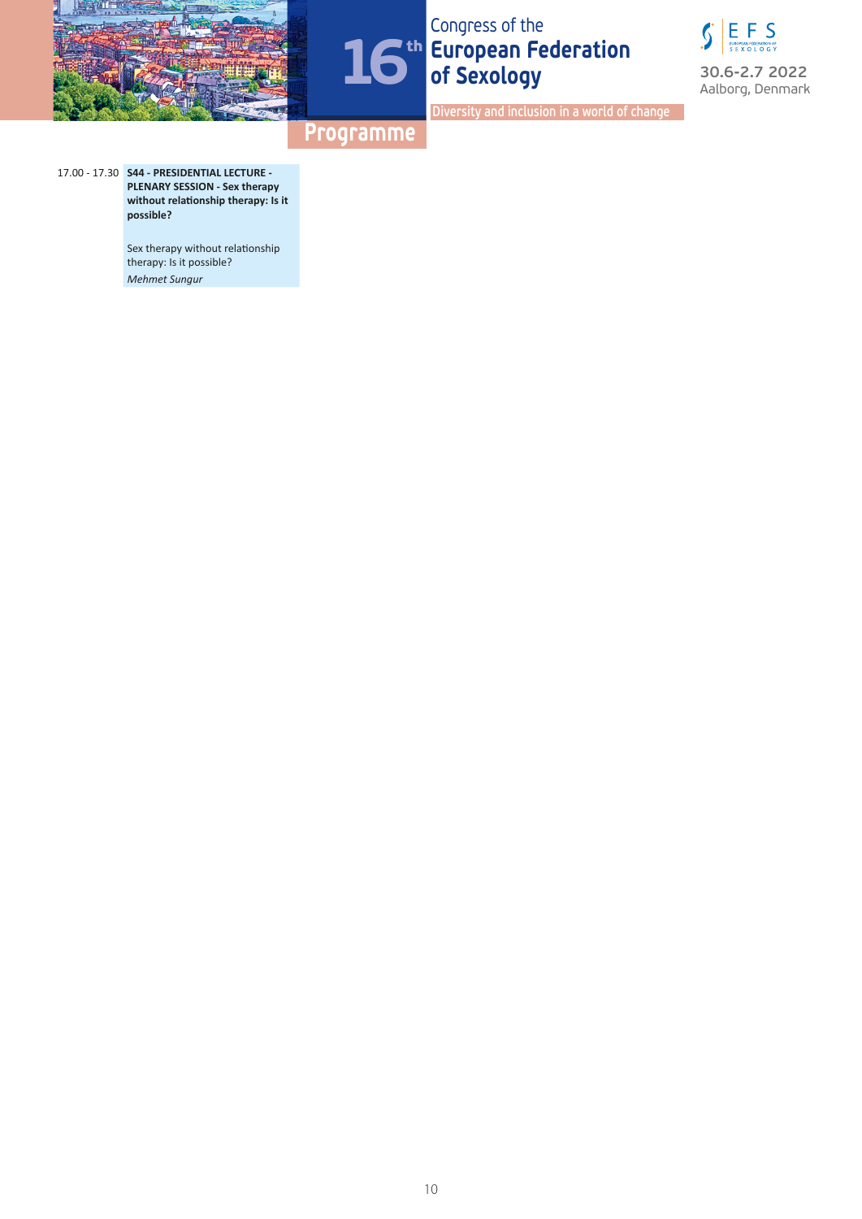





**Diversity and inclusion in a world of change**

### **Programme**

17.00 - 17.30 **S44 - PRESIDENTIAL LECTURE - PLENARY SESSION - Sex therapy without relationship therapy: Is it possible?**

> Sex therapy without relationship therapy: Is it possible? *Mehmet Sungur*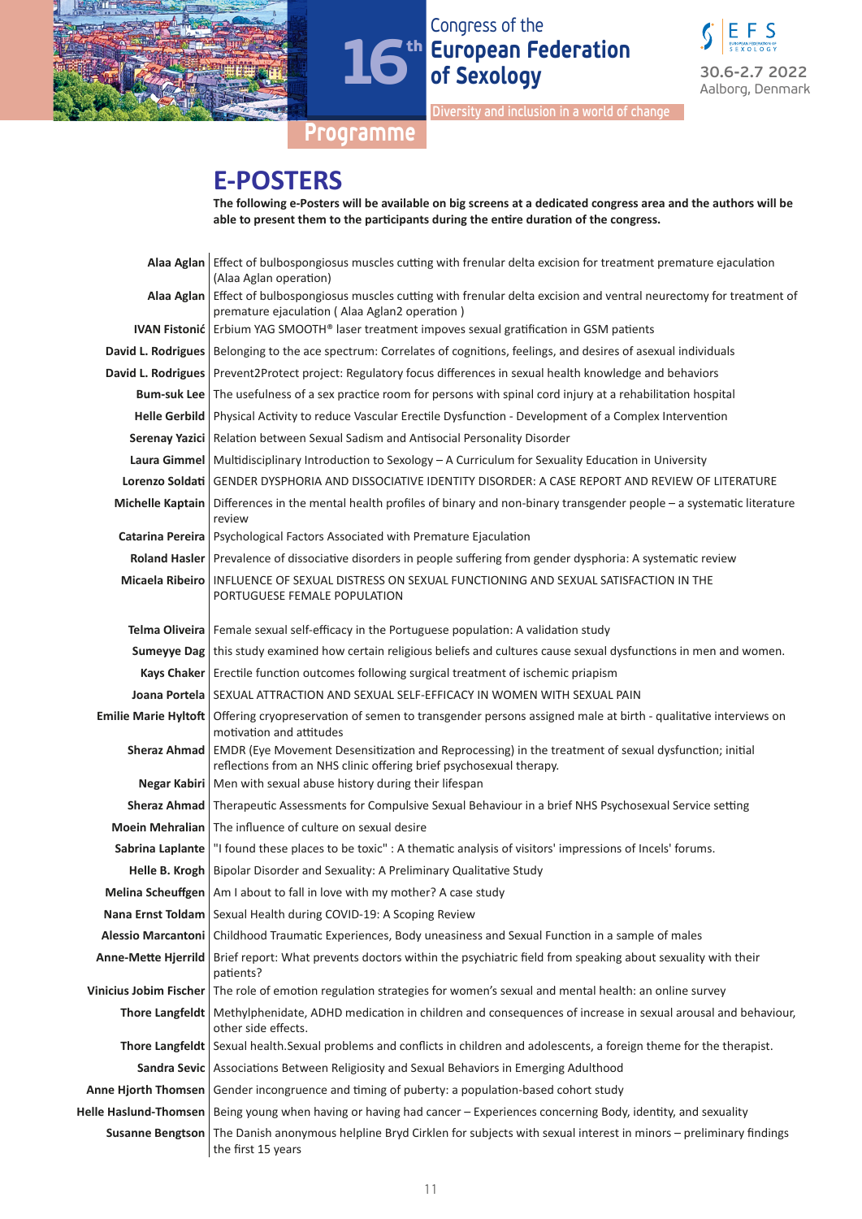



**Diversity and inclusion in a world of change**

### **Programme**

# **E-POSTERS**

|                            | The following e-Posters will be available on big screens at a dedicated congress area and the authors will be<br>able to present them to the participants during the entire duration of the congress. |
|----------------------------|-------------------------------------------------------------------------------------------------------------------------------------------------------------------------------------------------------|
|                            | Alaa Aglan   Effect of bulbospongiosus muscles cutting with frenular delta excision for treatment premature ejaculation<br>(Alaa Aglan operation)                                                     |
|                            | Alaa Aglan   Effect of bulbospongiosus muscles cutting with frenular delta excision and ventral neurectomy for treatment of<br>premature ejaculation (Alaa Aglan2 operation)                          |
|                            | IVAN Fistonić   Erbium YAG SMOOTH® laser treatment impoves sexual gratification in GSM patients                                                                                                       |
|                            | David L. Rodrigues   Belonging to the ace spectrum: Correlates of cognitions, feelings, and desires of asexual individuals                                                                            |
|                            | David L. Rodrigues   Prevent2Protect project: Regulatory focus differences in sexual health knowledge and behaviors                                                                                   |
|                            | Bum-suk Lee   The usefulness of a sex practice room for persons with spinal cord injury at a rehabilitation hospital                                                                                  |
|                            | Helle Gerbild   Physical Activity to reduce Vascular Erectile Dysfunction - Development of a Complex Intervention                                                                                     |
|                            | Serenay Yazici   Relation between Sexual Sadism and Antisocial Personality Disorder                                                                                                                   |
|                            | Laura Gimmel   Multidisciplinary Introduction to Sexology - A Curriculum for Sexuality Education in University                                                                                        |
|                            | Lorenzo Soldati GENDER DYSPHORIA AND DISSOCIATIVE IDENTITY DISORDER: A CASE REPORT AND REVIEW OF LITERATURE                                                                                           |
|                            | Michelle Kaptain   Differences in the mental health profiles of binary and non-binary transgender people – a systematic literature<br>review                                                          |
|                            | Catarina Pereira   Psychological Factors Associated with Premature Ejaculation                                                                                                                        |
|                            | Roland Hasler   Prevalence of dissociative disorders in people suffering from gender dysphoria: A systematic review                                                                                   |
| Micaela Ribeiro            | INFLUENCE OF SEXUAL DISTRESS ON SEXUAL FUNCTIONING AND SEXUAL SATISFACTION IN THE<br>PORTUGUESE FEMALE POPULATION                                                                                     |
|                            | Telma Oliveira   Female sexual self-efficacy in the Portuguese population: A validation study                                                                                                         |
|                            | <b>Sumeyye Dag</b> this study examined how certain religious beliefs and cultures cause sexual dysfunctions in men and women.                                                                         |
|                            | Kays Chaker   Erectile function outcomes following surgical treatment of ischemic priapism                                                                                                            |
|                            | <b>Joana Portela   SEXUAL ATTRACTION AND SEXUAL SELF-EFFICACY IN WOMEN WITH SEXUAL PAIN</b>                                                                                                           |
|                            | Emilie Marie Hyltoft   Offering cryopreservation of semen to transgender persons assigned male at birth - qualitative interviews on<br>motivation and attitudes                                       |
| <b>Sheraz Ahmad</b>        | EMDR (Eye Movement Desensitization and Reprocessing) in the treatment of sexual dysfunction; initial<br>reflections from an NHS clinic offering brief psychosexual therapy.                           |
|                            | Negar Kabiri   Men with sexual abuse history during their lifespan                                                                                                                                    |
|                            | Sheraz Ahmad   Therapeutic Assessments for Compulsive Sexual Behaviour in a brief NHS Psychosexual Service setting                                                                                    |
|                            | Moein Mehralian The influence of culture on sexual desire                                                                                                                                             |
|                            | Sabrina Laplante   "I found these places to be toxic" : A thematic analysis of visitors' impressions of Incels' forums.                                                                               |
|                            | Helle B. Krogh   Bipolar Disorder and Sexuality: A Preliminary Qualitative Study                                                                                                                      |
|                            | Melina Scheuffgen   Am I about to fall in love with my mother? A case study                                                                                                                           |
|                            | Nana Ernst Toldam   Sexual Health during COVID-19: A Scoping Review                                                                                                                                   |
|                            | Alessio Marcantoni   Childhood Traumatic Experiences, Body uneasiness and Sexual Function in a sample of males                                                                                        |
| <b>Anne-Mette Hjerrild</b> | Brief report: What prevents doctors within the psychiatric field from speaking about sexuality with their<br>patients?                                                                                |
|                            | Vinicius Jobim Fischer   The role of emotion regulation strategies for women's sexual and mental health: an online survey                                                                             |
|                            | Thore Langfeldt   Methylphenidate, ADHD medication in children and consequences of increase in sexual arousal and behaviour,<br>other side effects.                                                   |
|                            | Thore Langfeldt Sexual health.Sexual problems and conflicts in children and adolescents, a foreign theme for the therapist.                                                                           |
|                            | Sandra Sevic   Associations Between Religiosity and Sexual Behaviors in Emerging Adulthood                                                                                                            |
| Anne Hjorth Thomsen        | Gender incongruence and timing of puberty: a population-based cohort study                                                                                                                            |
| Helle Haslund-Thomsen      | Being young when having or having had cancer - Experiences concerning Body, identity, and sexuality                                                                                                   |
| <b>Susanne Bengtson</b>    | The Danish anonymous helpline Bryd Cirklen for subjects with sexual interest in minors - preliminary findings<br>the first 15 years                                                                   |